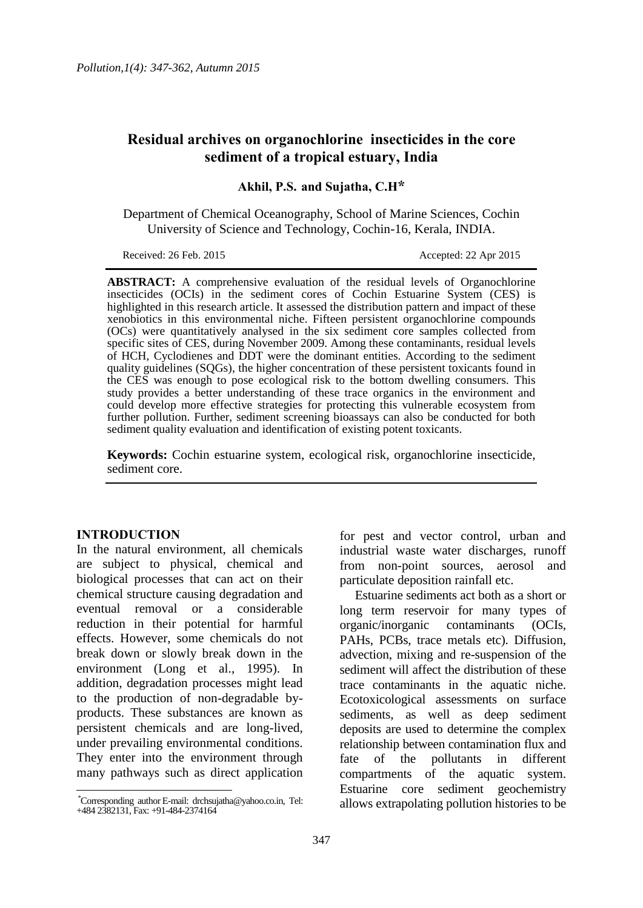# **Residual archives on organochlorine insecticides in the core sediment of a tropical estuary, India**

**Akhil, P.S. and Sujatha, C.H\***

Department of Chemical Oceanography, School of Marine Sciences, Cochin University of Science and Technology, Cochin-16, Kerala, INDIA.

Received: 26 Feb. 2015 Accepted: 22 Apr 2015

**ABSTRACT:** A comprehensive evaluation of the residual levels of Organochlorine insecticides (OCIs) in the sediment cores of Cochin Estuarine System (CES) is highlighted in this research article. It assessed the distribution pattern and impact of these xenobiotics in this environmental niche. Fifteen persistent organochlorine compounds (OCs) were quantitatively analysed in the six sediment core samples collected from specific sites of CES, during November 2009. Among these contaminants, residual levels of HCH, Cyclodienes and DDT were the dominant entities. According to the sediment quality guidelines (SQGs), the higher concentration of these persistent toxicants found in the CES was enough to pose ecological risk to the bottom dwelling consumers. This study provides a better understanding of these trace organics in the environment and could develop more effective strategies for protecting this vulnerable ecosystem from further pollution. Further, sediment screening bioassays can also be conducted for both sediment quality evaluation and identification of existing potent toxicants.

**Keywords:** Cochin estuarine system, ecological risk, organochlorine insecticide, sediment core.

#### **INTRODUCTION**

 $\overline{a}$ 

In the natural environment, all chemicals are subject to physical, chemical and biological processes that can act on their chemical structure causing degradation and eventual removal or a considerable reduction in their potential for harmful effects. However, some chemicals do not break down or slowly break down in the environment (Long et al., 1995). In addition, degradation processes might lead to the production of non-degradable byproducts. These substances are known as persistent chemicals and are long-lived, under prevailing environmental conditions. They enter into the environment through many pathways such as direct application

for pest and vector control, urban and industrial waste water discharges, runoff from non-point sources, aerosol and particulate deposition rainfall etc.

Estuarine sediments act both as a short or long term reservoir for many types of organic/inorganic contaminants (OCIs, PAHs, PCBs, trace metals etc). Diffusion, advection, mixing and re-suspension of the sediment will affect the distribution of these trace contaminants in the aquatic niche. Ecotoxicological assessments on surface sediments, as well as deep sediment deposits are used to determine the complex relationship between contamination flux and fate of the pollutants in different compartments of the aquatic system. Estuarine core sediment geochemistry allows extrapolating pollution histories to be

<sup>\*</sup>Corresponding author E-mail: drchsujatha@yahoo.co.in, Tel: +484 2382131, Fax: +91-484-2374164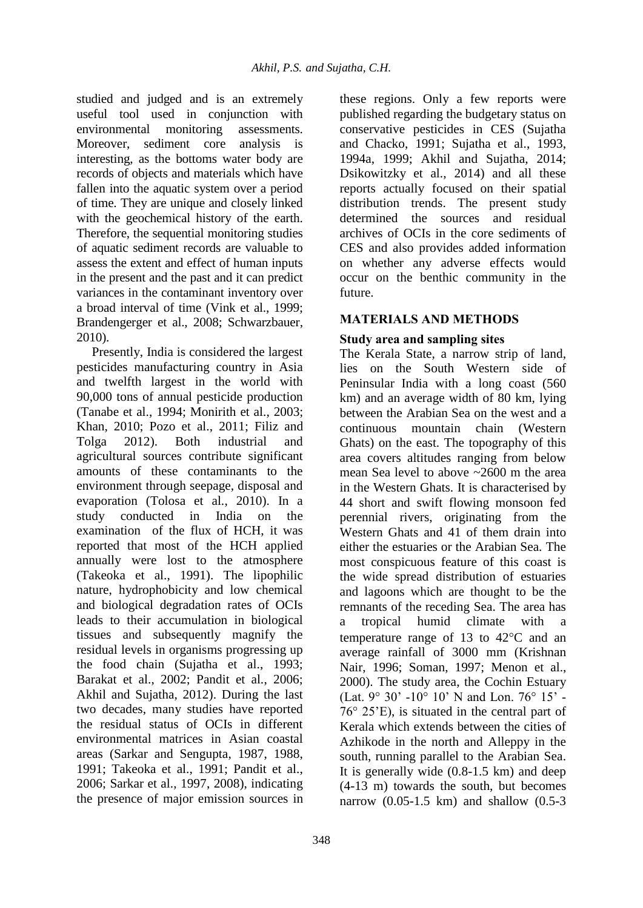studied and judged and is an extremely useful tool used in conjunction with environmental monitoring assessments. Moreover, sediment core analysis is interesting, as the bottoms water body are records of objects and materials which have fallen into the aquatic system over a period of time. They are unique and closely linked with the geochemical history of the earth. Therefore, the sequential monitoring studies of aquatic sediment records are valuable to assess the extent and effect of human inputs in the present and the past and it can predict variances in the contaminant inventory over a broad interval of time (Vink et al., 1999; Brandengerger et al., 2008; Schwarzbauer, 2010).

Presently, India is considered the largest pesticides manufacturing country in Asia and twelfth largest in the world with 90,000 tons of annual pesticide production (Tanabe et al., 1994; Monirith et al., 2003; Khan, 2010; Pozo et al., 2011; Filiz and Tolga 2012). Both industrial and agricultural sources contribute significant amounts of these contaminants to the environment through seepage, disposal and evaporation (Tolosa et al., 2010). In a study conducted in India on the examination of the flux of HCH, it was reported that most of the HCH applied annually were lost to the atmosphere (Takeoka et al., 1991). The lipophilic nature, hydrophobicity and low chemical and biological degradation rates of OCIs leads to their accumulation in biological tissues and subsequently magnify the residual levels in organisms progressing up the food chain (Sujatha et al., 1993; Barakat et al., 2002; Pandit et al., 2006; Akhil and Sujatha, 2012). During the last two decades, many studies have reported the residual status of OCIs in different environmental matrices in Asian coastal areas (Sarkar and Sengupta, 1987, 1988, 1991; Takeoka et al., 1991; Pandit et al., 2006; Sarkar et al., 1997, 2008), indicating the presence of major emission sources in

these regions. Only a few reports were published regarding the budgetary status on conservative pesticides in CES (Sujatha and Chacko, 1991; Sujatha et al., 1993, 1994a, 1999; Akhil and Sujatha, 2014; Dsikowitzky et al., 2014) and all these reports actually focused on their spatial distribution trends. The present study determined the sources and residual archives of OCIs in the core sediments of CES and also provides added information on whether any adverse effects would occur on the benthic community in the future.

# **MATERIALS AND METHODS**

# **Study area and sampling sites**

The Kerala State, a narrow strip of land, lies on the South Western side of Peninsular India with a long coast (560 km) and an average width of 80 km, lying between the Arabian Sea on the west and a continuous mountain chain (Western Ghats) on the east. The topography of this area covers altitudes ranging from below mean Sea level to above ~2600 m the area in the Western Ghats. It is characterised by 44 short and swift flowing monsoon fed perennial rivers, originating from the Western Ghats and 41 of them drain into either the estuaries or the Arabian Sea. The most conspicuous feature of this coast is the wide spread distribution of estuaries and lagoons which are thought to be the remnants of the receding Sea. The area has a tropical humid climate with temperature range of 13 to  $42^{\circ}$ C and an average rainfall of 3000 mm (Krishnan Nair, 1996; Soman, 1997; Menon et al., 2000). The study area, the Cochin Estuary (Lat. 9° 30' 10° 10' N and Lon. 76° 15' 76° 25'E), is situated in the central part of Kerala which extends between the cities of Azhikode in the north and Alleppy in the south, running parallel to the Arabian Sea. It is generally wide (0.8-1.5 km) and deep (4-13 m) towards the south, but becomes narrow (0.05-1.5 km) and shallow (0.5-3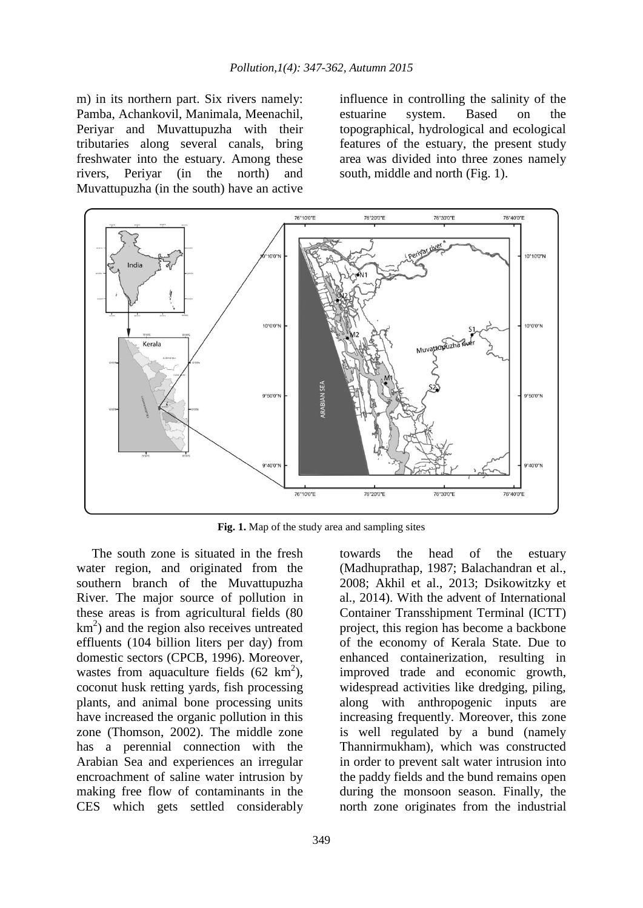m) in its northern part. Six rivers namely: Pamba, Achankovil, Manimala, Meenachil, Periyar and Muvattupuzha with their tributaries along several canals, bring freshwater into the estuary. Among these rivers, Periyar (in the north) and Muvattupuzha (in the south) have an active

influence in controlling the salinity of the<br>estuarine system. Based on the estuarine system. Based on the topographical, hydrological and ecological features of the estuary, the present study area was divided into three zones namely south, middle and north (Fig. 1).



**Fig. 1.** Map of the study area and sampling sites

The south zone is situated in the fresh water region, and originated from the southern branch of the Muvattupuzha River. The major source of pollution in these areas is from agricultural fields (80 km 2 ) and the region also receives untreated effluents (104 billion liters per day) from domestic sectors (CPCB, 1996). Moreover, wastes from aquaculture fields  $(62 \text{ km}^2)$ , coconut husk retting yards, fish processing plants, and animal bone processing units have increased the organic pollution in this zone (Thomson, 2002). The middle zone has a perennial connection with the Arabian Sea and experiences an irregular encroachment of saline water intrusion by making free flow of contaminants in the CES which gets settled considerably

(Madhuprathap, 1987; Balachandran et al., 2008; Akhil et al., 2013; Dsikowitzky et al., 2014). With the advent of International Container Transshipment Terminal (ICTT) project, this region has become a backbone of the economy of Kerala State. Due to enhanced containerization, resulting in improved trade and economic growth, widespread activities like dredging, piling, along with anthropogenic inputs are increasing frequently. Moreover, this zone is well regulated by a bund (namely Thannirmukham), which was constructed in order to prevent salt water intrusion into the paddy fields and the bund remains open during the monsoon season. Finally, the north zone originates from the industrial

towards the head of the estuary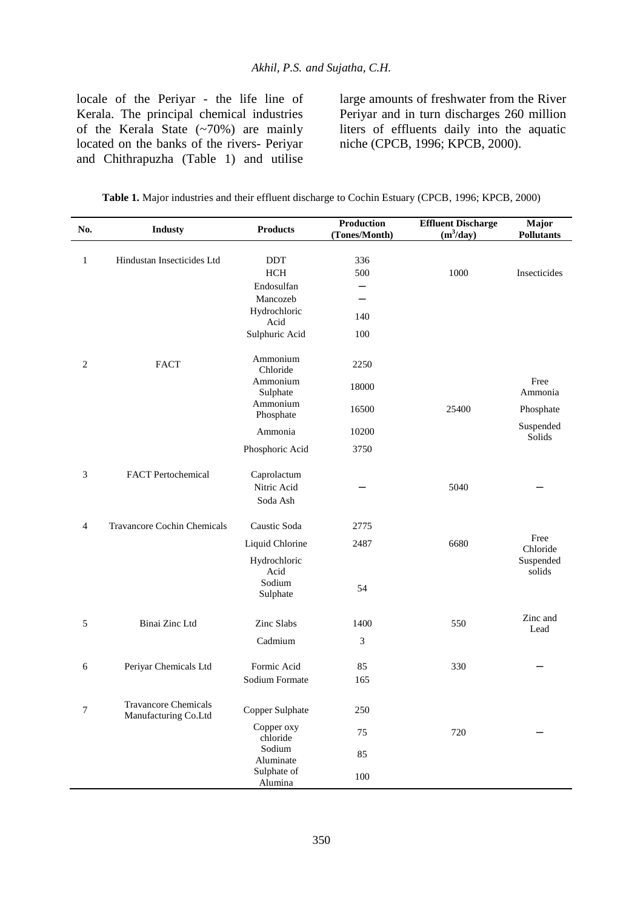locale of the Periyar - the life line of Kerala. The principal chemical industries of the Kerala State (~70%) are mainly located on the banks of the rivers- Periyar and Chithrapuzha (Table 1) and utilise

large amounts of freshwater from the River Periyar and in turn discharges 260 million liters of effluents daily into the aquatic niche (CPCB, 1996; KPCB, 2000).

| No.            | <b>Industy</b>                                      | <b>Products</b>         | Production<br>(Tones/Month) | <b>Effluent Discharge</b><br>$(m^3/day)$ | Major<br><b>Pollutants</b> |
|----------------|-----------------------------------------------------|-------------------------|-----------------------------|------------------------------------------|----------------------------|
|                |                                                     |                         |                             |                                          |                            |
| $\mathbf{1}$   | Hindustan Insecticides Ltd                          | <b>DDT</b>              | 336                         |                                          |                            |
|                |                                                     | <b>HCH</b>              | 500                         | 1000                                     | Insecticides               |
|                |                                                     | Endosulfan              | —                           |                                          |                            |
|                |                                                     | Mancozeb                |                             |                                          |                            |
|                |                                                     | Hydrochloric<br>Acid    | 140                         |                                          |                            |
|                |                                                     | Sulphuric Acid          | 100                         |                                          |                            |
| $\overline{c}$ | <b>FACT</b>                                         | Ammonium<br>Chloride    | 2250                        |                                          |                            |
|                |                                                     | Ammonium<br>Sulphate    | 18000                       |                                          | Free<br>Ammonia            |
|                |                                                     | Ammonium<br>Phosphate   | 16500                       | 25400                                    | Phosphate                  |
|                |                                                     | Ammonia                 | 10200                       |                                          | Suspended<br>Solids        |
|                |                                                     | Phosphoric Acid         | 3750                        |                                          |                            |
| 3              | <b>FACT</b> Pertochemical                           | Caprolactum             |                             |                                          |                            |
|                |                                                     | Nitric Acid<br>Soda Ash |                             | 5040                                     |                            |
| 4              | Travancore Cochin Chemicals                         | Caustic Soda            | 2775                        |                                          |                            |
|                |                                                     | Liquid Chlorine         | 2487                        | 6680                                     | Free<br>Chloride           |
|                |                                                     | Hydrochloric<br>Acid    |                             |                                          | Suspended<br>solids        |
|                |                                                     | Sodium<br>Sulphate      | 54                          |                                          |                            |
| 5              | Binai Zinc Ltd                                      | Zinc Slabs              | 1400                        | 550                                      | Zinc and<br>Lead           |
|                |                                                     | Cadmium                 | 3                           |                                          |                            |
| 6              | Periyar Chemicals Ltd                               | Formic Acid             | 85                          | 330                                      |                            |
|                |                                                     | Sodium Formate          | 165                         |                                          |                            |
| 7              | <b>Travancore Chemicals</b><br>Manufacturing Co.Ltd | Copper Sulphate         | 250                         |                                          |                            |
|                |                                                     | Copper oxy<br>chloride  | 75                          | 720                                      |                            |
|                |                                                     | Sodium<br>Aluminate     | 85                          |                                          |                            |
|                |                                                     | Sulphate of<br>Alumina  | 100                         |                                          |                            |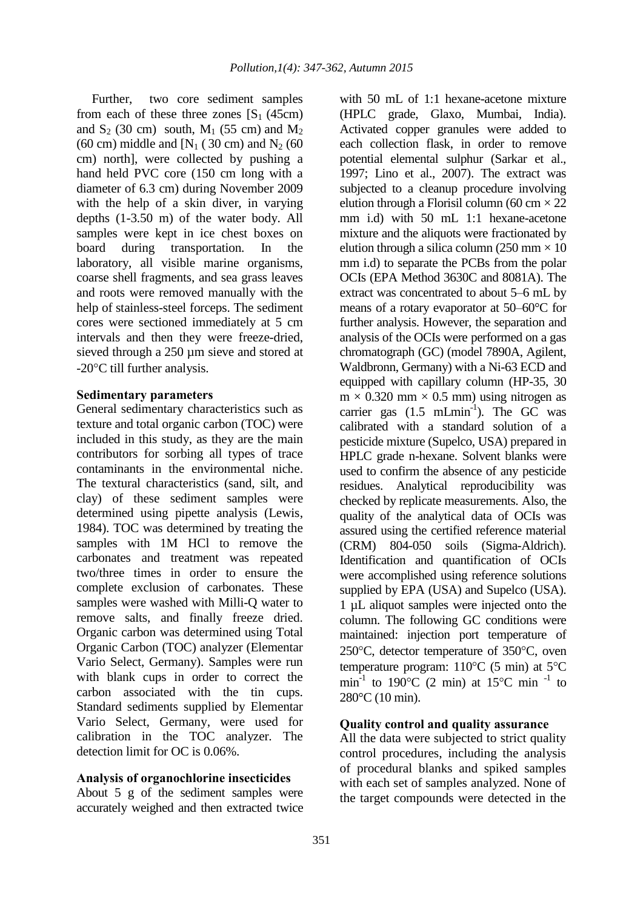Further, two core sediment samples from each of these three zones  $[S_1 (45cm)]$ and  $S_2$  (30 cm) south,  $M_1$  (55 cm) and  $M_2$ (60 cm) middle and  $[N_1 (30 \text{ cm})$  and  $N_2 (60 \text{ cm})$ cm) north], were collected by pushing a hand held PVC core (150 cm long with a diameter of 6.3 cm) during November 2009 with the help of a skin diver, in varying depths (1-3.50 m) of the water body. All samples were kept in ice chest boxes on board during transportation. In the laboratory, all visible marine organisms, coarse shell fragments, and sea grass leaves and roots were removed manually with the help of stainless-steel forceps. The sediment cores were sectioned immediately at 5 cm intervals and then they were freeze-dried, sieved through a 250 µm sieve and stored at -20<sup>o</sup>C till further analysis.

### **Sedimentary parameters**

General sedimentary characteristics such as texture and total organic carbon (TOC) were included in this study, as they are the main contributors for sorbing all types of trace contaminants in the environmental niche. The textural characteristics (sand, silt, and clay) of these sediment samples were determined using pipette analysis (Lewis, 1984). TOC was determined by treating the samples with 1M HCl to remove the carbonates and treatment was repeated two/three times in order to ensure the complete exclusion of carbonates. These samples were washed with Milli-Q water to remove salts, and finally freeze dried. Organic carbon was determined using Total Organic Carbon (TOC) analyzer (Elementar Vario Select, Germany). Samples were run with blank cups in order to correct the carbon associated with the tin cups. Standard sediments supplied by Elementar Vario Select, Germany, were used for calibration in the TOC analyzer. The detection limit for OC is 0.06%.

## **Analysis of organochlorine insecticides**

About 5 g of the sediment samples were accurately weighed and then extracted twice

with 50 mL of 1:1 hexane-acetone mixture (HPLC grade, Glaxo, Mumbai, India). Activated copper granules were added to each collection flask, in order to remove potential elemental sulphur (Sarkar et al., 1997; Lino et al., 2007). The extract was subjected to a cleanup procedure involving elution through a Florisil column (60 cm  $\times$  22 mm i.d) with 50 mL 1:1 hexane-acetone mixture and the aliquots were fractionated by elution through a silica column (250 mm  $\times$  10 mm i.d) to separate the PCBs from the polar OCIs (EPA Method 3630C and 8081A). The extract was concentrated to about 5–6 mL by means of a rotary evaporator at 50–60°C for further analysis. However, the separation and analysis of the OCIs were performed on a gas chromatograph (GC) (model 7890A, Agilent, Waldbronn, Germany) with a Ni-63 ECD and equipped with capillary column (HP-35, 30  $m \times 0.320$  mm  $\times 0.5$  mm) using nitrogen as carrier gas  $(1.5 \text{ mLmin}^{-1})$ . The GC was calibrated with a standard solution of a pesticide mixture (Supelco, USA) prepared in HPLC grade n-hexane. Solvent blanks were used to confirm the absence of any pesticide residues. Analytical reproducibility was checked by replicate measurements. Also, the quality of the analytical data of OCIs was assured using the certified reference material (CRM) 804-050 soils (Sigma-Aldrich). Identification and quantification of OCIs were accomplished using reference solutions supplied by EPA (USA) and Supelco (USA). 1 µL aliquot samples were injected onto the column. The following GC conditions were maintained: injection port temperature of 250 $\degree$ C, detector temperature of 350 $\degree$ C, oven temperature program:  $110^{\circ}$ C (5 min) at 5<sup> $\circ$ </sup>C min<sup>-1</sup> to 190°C (2 min) at 15°C min<sup>-1</sup> to 280°C (10 min).

## **Quality control and quality assurance**

All the data were subjected to strict quality control procedures, including the analysis of procedural blanks and spiked samples with each set of samples analyzed. None of the target compounds were detected in the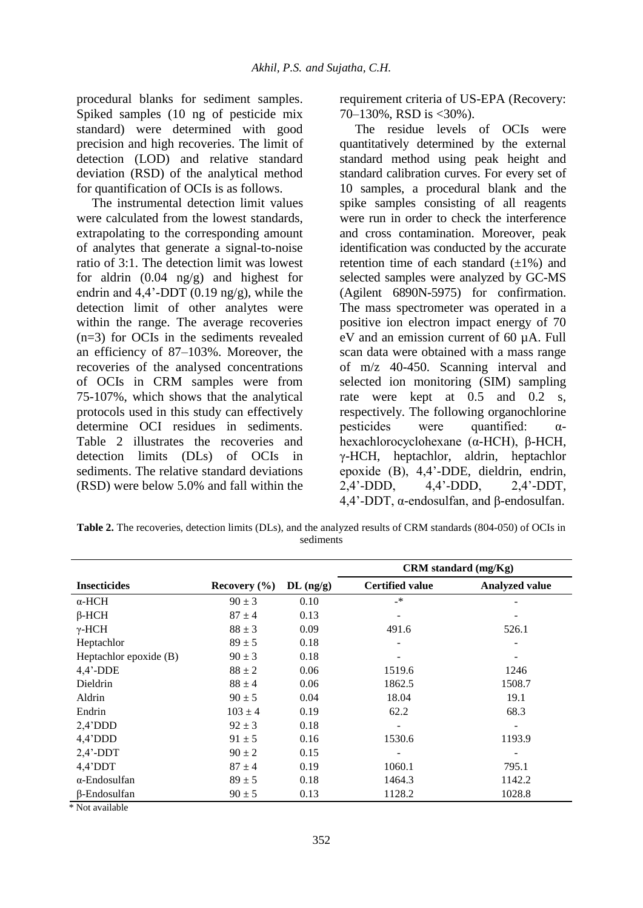procedural blanks for sediment samples. Spiked samples (10 ng of pesticide mix standard) were determined with good precision and high recoveries. The limit of detection (LOD) and relative standard deviation (RSD) of the analytical method for quantification of OCIs is as follows.

The instrumental detection limit values were calculated from the lowest standards, extrapolating to the corresponding amount of analytes that generate a signal-to-noise ratio of 3:1. The detection limit was lowest for aldrin (0.04 ng/g) and highest for endrin and  $4.4'$ -DDT (0.19 ng/g), while the detection limit of other analytes were within the range. The average recoveries (n=3) for OCIs in the sediments revealed an efficiency of 87–103%. Moreover, the recoveries of the analysed concentrations of OCIs in CRM samples were from 75-107%, which shows that the analytical protocols used in this study can effectively determine OCI residues in sediments. Table 2 illustrates the recoveries and detection limits (DLs) of OCIs in sediments. The relative standard deviations (RSD) were below 5.0% and fall within the

requirement criteria of US-EPA (Recovery: 70–130%, RSD is <30%).

The residue levels of OCIs were quantitatively determined by the external standard method using peak height and standard calibration curves. For every set of 10 samples, a procedural blank and the spike samples consisting of all reagents were run in order to check the interference and cross contamination. Moreover, peak identification was conducted by the accurate retention time of each standard  $(\pm 1\%)$  and selected samples were analyzed by GC-MS (Agilent 6890N-5975) for confirmation. The mass spectrometer was operated in a positive ion electron impact energy of 70 eV and an emission current of 60 µA. Full scan data were obtained with a mass range of m/z 40-450. Scanning interval and selected ion monitoring (SIM) sampling rate were kept at 0.5 and 0.2 s, respectively. The following organochlorine pesticides were quantified:  $\alpha$ hexachlorocyclohexane (α-HCH), β-HCH, γ-HCH, heptachlor, aldrin, heptachlor epoxide (B), 4,4'-DDE, dieldrin, endrin, 2,4'DDD, 4,4'DDD, 2,4'-DDT, 4,4'DDT, α-endosulfan, and β-endosulfan.

**Table 2.** The recoveries, detection limits (DLs), and the analyzed results of CRM standards (804-050) of OCIs in sediments

|                        |                  |             | CRM standard (mg/Kg)   |                          |  |  |
|------------------------|------------------|-------------|------------------------|--------------------------|--|--|
| <b>Insecticides</b>    | Recovery $(\% )$ | $DL$ (ng/g) | <b>Certified value</b> | <b>Analyzed value</b>    |  |  |
| $\alpha$ -HCH          | $90 \pm 3$       | 0.10        | _*                     |                          |  |  |
| $\beta$ -HCH           | $87 \pm 4$       | 0.13        |                        |                          |  |  |
| $\gamma$ -HCH          | $88 \pm 3$       | 0.09        | 491.6                  | 526.1                    |  |  |
| Heptachlor             | $89 \pm 5$       | 0.18        |                        |                          |  |  |
| Heptachlor epoxide (B) | $90 \pm 3$       | 0.18        |                        |                          |  |  |
| $4,4'$ -DDE            | $88 \pm 2$       | 0.06        | 1519.6                 | 1246                     |  |  |
| Dieldrin               | $88 \pm 4$       | 0.06        | 1862.5                 | 1508.7                   |  |  |
| Aldrin                 | $90 \pm 5$       | 0.04        | 18.04                  | 19.1                     |  |  |
| Endrin                 | $103 \pm 4$      | 0.19        | 62.2                   | 68.3                     |  |  |
| $2,4'$ DDD             | $92 \pm 3$       | 0.18        |                        |                          |  |  |
| $4,4'$ DDD             | $91 \pm 5$       | 0.16        | 1530.6                 | 1193.9                   |  |  |
| $2,4'$ -DDT            | $90 \pm 2$       | 0.15        |                        | $\overline{\phantom{a}}$ |  |  |
| $4,4'$ DDT             | $87 \pm 4$       | 0.19        | 1060.1                 | 795.1                    |  |  |
| $\alpha$ -Endosulfan   | $89 \pm 5$       | 0.18        | 1464.3                 | 1142.2                   |  |  |
| β-Endosulfan           | $90 \pm 5$       | 0.13        | 1128.2                 | 1028.8                   |  |  |

\* Not available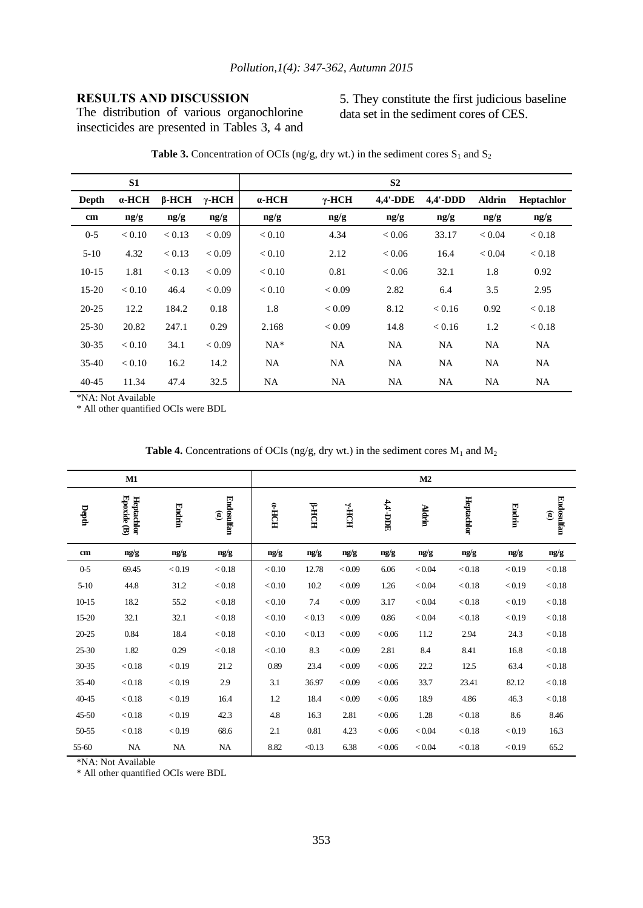## **RESULTS AND DISCUSSION**

The distribution of various organochlorine insecticides are presented in Tables 3, 4 and 5. They constitute the first judicious baseline data set in the sediment cores of CES.

|              | S1            |              |               |               |               | S <sub>2</sub>  |             |               |            |
|--------------|---------------|--------------|---------------|---------------|---------------|-----------------|-------------|---------------|------------|
| <b>Depth</b> | $\alpha$ -HCH | $\beta$ -HCH | $\gamma$ -HCH | $\alpha$ -HCH | $\gamma$ -HCH | <b>4,4'-DDE</b> | $4.4'$ -DDD | <b>Aldrin</b> | Heptachlor |
| cm           | ng/g          | ng/g         | ng/g          | ng/g          | ng/g          | ng/g            | ng/g        | ng/g          | ng/g       |
| $0 - 5$      | < 0.10        | < 0.13       | < 0.09        | < 0.10        | 4.34          | < 0.06          | 33.17       | < 0.04        | < 0.18     |
| $5-10$       | 4.32          | < 0.13       | < 0.09        | < 0.10        | 2.12          | < 0.06          | 16.4        | < 0.04        | < 0.18     |
| $10-15$      | 1.81          | < 0.13       | < 0.09        | < 0.10        | 0.81          | < 0.06          | 32.1        | 1.8           | 0.92       |
| $15-20$      | < 0.10        | 46.4         | < 0.09        | < 0.10        | < 0.09        | 2.82            | 6.4         | 3.5           | 2.95       |
| $20 - 25$    | 12.2          | 184.2        | 0.18          | 1.8           | < 0.09        | 8.12            | < 0.16      | 0.92          | < 0.18     |
| $25 - 30$    | 20.82         | 247.1        | 0.29          | 2.168         | < 0.09        | 14.8            | < 0.16      | 1.2           | < 0.18     |
| $30 - 35$    | < 0.10        | 34.1         | < 0.09        | $NA*$         | <b>NA</b>     | NA              | <b>NA</b>   | <b>NA</b>     | <b>NA</b>  |
| $35-40$      | < 0.10        | 16.2         | 14.2          | <b>NA</b>     | <b>NA</b>     | <b>NA</b>       | NA          | <b>NA</b>     | NA         |
| 40-45        | 11.34         | 47.4         | 32.5          | NA            | <b>NA</b>     | NA              | NA          | NA            | NA         |

**Table 3.** Concentration of OCIs (ng/g, dry wt.) in the sediment cores  $S_1$  and  $S_2$ 

\*NA: Not Available

\* All other quantified OCIs were BDL

|           | $\mathbf{M1}$               |        |                                      |          |             |                                       |          | M2            |            |        |                                             |
|-----------|-----------------------------|--------|--------------------------------------|----------|-------------|---------------------------------------|----------|---------------|------------|--------|---------------------------------------------|
| Depth     | Epoxide $(B)$<br>Heptachlor | Endrin | Endosulfan<br>$\widehat{\mathbf{e}}$ | $HCOH-2$ | <b>FHCH</b> | $\mathbf{H}\mathbf{O}\mathbf{H}^{-k}$ | 4,4'-DDE | <b>Aldrin</b> | Heptachlor | Endrin | <b>Endosulfan</b><br>$\widehat{\mathbf{e}}$ |
| cm        | ng/g                        | ng/g   | ng/g                                 | ng/g     | ng/g        | ng/g                                  | ng/g     | ng/g          | ng/g       | ng/g   | ng/g                                        |
| $0 - 5$   | 69.45                       | < 0.19 | < 0.18                               | < 0.10   | 12.78       | < 0.09                                | 6.06     | < 0.04        | < 0.18     | < 0.19 | < 0.18                                      |
| $5 - 10$  | 44.8                        | 31.2   | < 0.18                               | < 0.10   | 10.2        | < 0.09                                | 1.26     | < 0.04        | < 0.18     | < 0.19 | < 0.18                                      |
| $10 - 15$ | 18.2                        | 55.2   | < 0.18                               | < 0.10   | 7.4         | < 0.09                                | 3.17     | < 0.04        | < 0.18     | < 0.19 | < 0.18                                      |
| 15-20     | 32.1                        | 32.1   | < 0.18                               | < 0.10   | < 0.13      | < 0.09                                | 0.86     | < 0.04        | < 0.18     | < 0.19 | < 0.18                                      |
| $20 - 25$ | 0.84                        | 18.4   | < 0.18                               | < 0.10   | < 0.13      | < 0.09                                | < 0.06   | 11.2          | 2.94       | 24.3   | < 0.18                                      |
| 25-30     | 1.82                        | 0.29   | < 0.18                               | < 0.10   | 8.3         | < 0.09                                | 2.81     | 8.4           | 8.41       | 16.8   | < 0.18                                      |
| 30-35     | < 0.18                      | < 0.19 | 21.2                                 | 0.89     | 23.4        | < 0.09                                | < 0.06   | 22.2          | 12.5       | 63.4   | < 0.18                                      |
| 35-40     | < 0.18                      | < 0.19 | 2.9                                  | 3.1      | 36.97       | < 0.09                                | < 0.06   | 33.7          | 23.41      | 82.12  | < 0.18                                      |
| 40-45     | < 0.18                      | < 0.19 | 16.4                                 | 1.2      | 18.4        | < 0.09                                | < 0.06   | 18.9          | 4.86       | 46.3   | < 0.18                                      |
| $45 - 50$ | < 0.18                      | < 0.19 | 42.3                                 | 4.8      | 16.3        | 2.81                                  | < 0.06   | 1.28          | < 0.18     | 8.6    | 8.46                                        |
| 50-55     | < 0.18                      | < 0.19 | 68.6                                 | 2.1      | 0.81        | 4.23                                  | < 0.06   | < 0.04        | < 0.18     | < 0.19 | 16.3                                        |
| 55-60     | NA                          | NA     | NA                                   | 8.82     | < 0.13      | 6.38                                  | < 0.06   | < 0.04        | < 0.18     | < 0.19 | 65.2                                        |

**Table 4.** Concentrations of OCIs (ng/g, dry wt.) in the sediment cores  $M_1$  and  $M_2$ 

\*NA: Not Available

\* All other quantified OCIs were BDL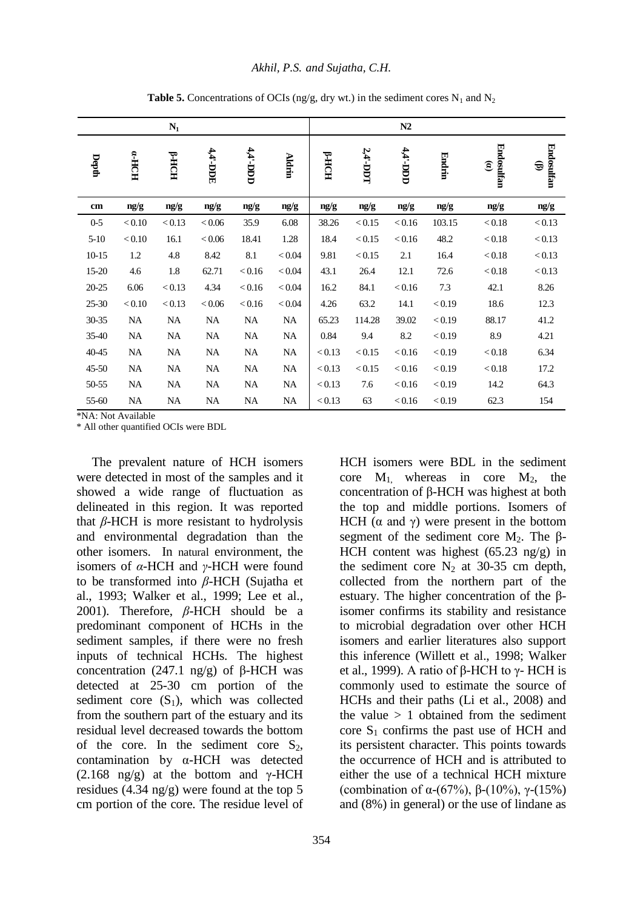|               |            | $\mathbf{N}_1$ |           |            |               |             |        | N2         |        |                                      |                 |
|---------------|------------|----------------|-----------|------------|---------------|-------------|--------|------------|--------|--------------------------------------|-----------------|
| Depth         | $HCH^{-n}$ | <b>FHCH</b>    | 44-DDE    | $111 - 11$ | <b>Aldrin</b> | <b>FHCH</b> | 24-DDT | $11 - 100$ | Endrin | Endosulfan<br>$\mathbf{\widehat{e}}$ | Endosulfan<br>⊜ |
| $\mathbf{cm}$ | ng/g       | ng/g           | ng/g      | ng/g       | ng/g          | ng/g        | ng/g   | ng/g       | ng/g   | ng/g                                 | ng/g            |
| $0 - 5$       | < 0.10     | < 0.13         | < 0.06    | 35.9       | 6.08          | 38.26       | < 0.15 | < 0.16     | 103.15 | < 0.18                               | < 0.13          |
| $5 - 10$      | < 0.10     | 16.1           | $<\!0.06$ | 18.41      | 1.28          | 18.4        | < 0.15 | < 0.16     | 48.2   | < 0.18                               | < 0.13          |
| $10 - 15$     | 1.2        | 4.8            | 8.42      | 8.1        | < 0.04        | 9.81        | < 0.15 | 2.1        | 16.4   | < 0.18                               | < 0.13          |
| 15-20         | 4.6        | $1.8\,$        | 62.71     | < 0.16     | < 0.04        | 43.1        | 26.4   | 12.1       | 72.6   | $<\!0.18$                            | < 0.13          |
| $20 - 25$     | 6.06       | < 0.13         | 4.34      | < 0.16     | < 0.04        | 16.2        | 84.1   | < 0.16     | 7.3    | 42.1                                 | 8.26            |
| 25-30         | < 0.10     | < 0.13         | < 0.06    | < 0.16     | < 0.04        | 4.26        | 63.2   | 14.1       | < 0.19 | 18.6                                 | 12.3            |
| 30-35         | <b>NA</b>  | NA             | NA        | NA         | NA            | 65.23       | 114.28 | 39.02      | < 0.19 | 88.17                                | 41.2            |
| 35-40         | NA         | NA             | <b>NA</b> | NA         | NA            | 0.84        | 9.4    | 8.2        | < 0.19 | 8.9                                  | 4.21            |
| 40-45         | <b>NA</b>  | <b>NA</b>      | <b>NA</b> | <b>NA</b>  | NA            | < 0.13      | < 0.15 | < 0.16     | < 0.19 | < 0.18                               | 6.34            |
| 45-50         | $\rm NA$   | NA             | <b>NA</b> | NA         | NA            | < 0.13      | < 0.15 | < 0.16     | < 0.19 | < 0.18                               | 17.2            |
| 50-55         | NA         | NA             | <b>NA</b> | NA         | <b>NA</b>     | < 0.13      | 7.6    | < 0.16     | < 0.19 | 14.2                                 | 64.3            |
| 55-60         | NA         | NA             | NA        | NA         | NA            | < 0.13      | 63     | < 0.16     | < 0.19 | 62.3                                 | 154             |

**Table 5.** Concentrations of OCIs (ng/g, dry wt.) in the sediment cores  $N_1$  and  $N_2$ 

\*NA: Not Available

\* All other quantified OCIs were BDL

The prevalent nature of HCH isomers were detected in most of the samples and it showed a wide range of fluctuation as delineated in this region. It was reported that *β*-HCH is more resistant to hydrolysis and environmental degradation than the other isomers. In natural environment, the isomers of *α*-HCH and *γ*-HCH were found to be transformed into *β*-HCH (Sujatha et al., 1993; Walker et al., 1999; Lee et al., 2001). Therefore, *β*-HCH should be a predominant component of HCHs in the sediment samples, if there were no fresh inputs of technical HCHs. The highest concentration (247.1 ng/g) of β-HCH was detected at 25-30 cm portion of the sediment core  $(S_1)$ , which was collected from the southern part of the estuary and its residual level decreased towards the bottom of the core. In the sediment core  $S_2$ , contamination by α-HCH was detected (2.168 ng/g) at the bottom and  $\gamma$ -HCH residues (4.34 ng/g) were found at the top 5 cm portion of the core. The residue level of

core  $M_1$  whereas in core  $M_2$ , the concentration of β-HCH was highest at both the top and middle portions. Isomers of HCH ( $\alpha$  and  $\gamma$ ) were present in the bottom segment of the sediment core  $M_2$ . The  $\beta$ -HCH content was highest (65.23 ng/g) in the sediment core  $N_2$  at 30-35 cm depth, collected from the northern part of the estuary. The higher concentration of the βisomer confirms its stability and resistance to microbial degradation over other HCH isomers and earlier literatures also support this inference (Willett et al., 1998; Walker et al., 1999). A ratio of β-HCH to  $\gamma$ - HCH is commonly used to estimate the source of HCHs and their paths (Li et al., 2008) and the value  $> 1$  obtained from the sediment core  $S_1$  confirms the past use of HCH and its persistent character. This points towards the occurrence of HCH and is attributed to either the use of a technical HCH mixture (combination of α-(67%), β-(10%), γ-(15%) and (8%) in general) or the use of lindane as

HCH isomers were BDL in the sediment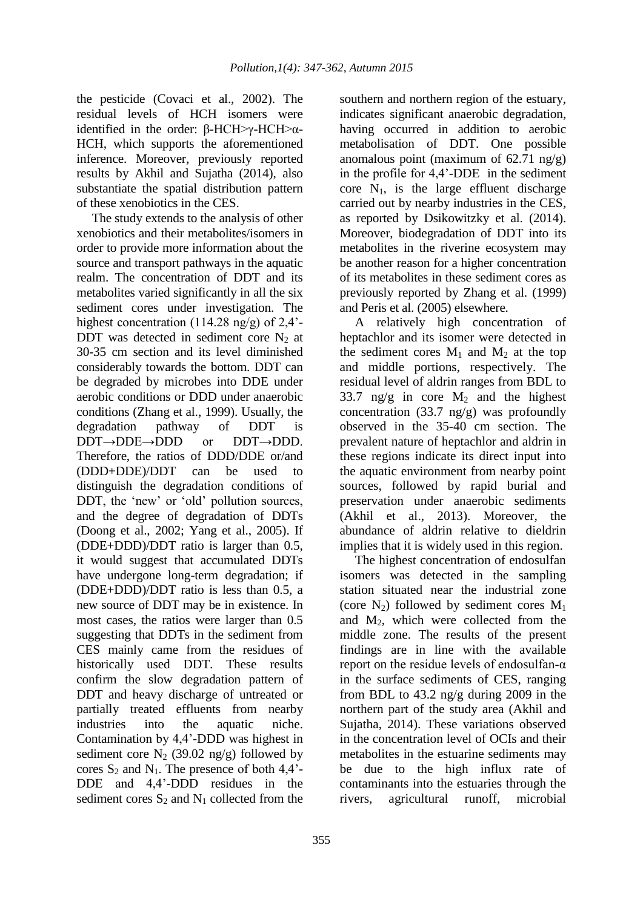the pesticide (Covaci et al., 2002). The residual levels of HCH isomers were identified in the order:  $\beta$ -HCH>γ-HCH>α-HCH, which supports the aforementioned inference. Moreover, previously reported results by Akhil and Sujatha (2014), also substantiate the spatial distribution pattern of these xenobiotics in the CES.

The study extends to the analysis of other xenobiotics and their metabolites/isomers in order to provide more information about the source and transport pathways in the aquatic realm. The concentration of DDT and its metabolites varied significantly in all the six sediment cores under investigation. The highest concentration (114.28 ng/g) of 2,4'- DDT was detected in sediment core  $N_2$  at 30-35 cm section and its level diminished considerably towards the bottom. DDT can be degraded by microbes into DDE under aerobic conditions or DDD under anaerobic conditions (Zhang et al., 1999). Usually, the degradation pathway of DDT DDT→DDE→DDD or DDT→DDD. Therefore, the ratios of DDD/DDE or/and (DDD+DDE)/DDT can be used to distinguish the degradation conditions of DDT, the 'new' or 'old' pollution sources, and the degree of degradation of DDTs (Doong et al., 2002; Yang et al., 2005). If (DDE+DDD)/DDT ratio is larger than 0.5, it would suggest that accumulated DDTs have undergone long-term degradation; if (DDE+DDD)/DDT ratio is less than 0.5, a new source of DDT may be in existence. In most cases, the ratios were larger than 0.5 suggesting that DDTs in the sediment from CES mainly came from the residues of historically used DDT. These results confirm the slow degradation pattern of DDT and heavy discharge of untreated or partially treated effluents from nearby industries into the aquatic niche. Contamination by 4,4'-DDD was highest in sediment core  $N_2$  (39.02 ng/g) followed by cores  $S_2$  and  $N_1$ . The presence of both 4,4<sup>2</sup>-DDE and 4,4'-DDD residues in the sediment cores  $S_2$  and  $N_1$  collected from the

southern and northern region of the estuary, indicates significant anaerobic degradation, having occurred in addition to aerobic metabolisation of DDT. One possible anomalous point (maximum of 62.71 ng/g) in the profile for 4,4'-DDE in the sediment core  $N_1$ , is the large effluent discharge carried out by nearby industries in the CES, as reported by Dsikowitzky et al. (2014). Moreover, biodegradation of DDT into its metabolites in the riverine ecosystem may be another reason for a higher concentration of its metabolites in these sediment cores as previously reported by Zhang et al. (1999) and Peris et al. (2005) elsewhere.

A relatively high concentration of heptachlor and its isomer were detected in the sediment cores  $M_1$  and  $M_2$  at the top and middle portions, respectively. The residual level of aldrin ranges from BDL to 33.7 ng/g in core  $M_2$  and the highest concentration (33.7 ng/g) was profoundly observed in the 35-40 cm section. The prevalent nature of heptachlor and aldrin in these regions indicate its direct input into the aquatic environment from nearby point sources, followed by rapid burial and preservation under anaerobic sediments (Akhil et al., 2013). Moreover, the abundance of aldrin relative to dieldrin implies that it is widely used in this region.

The highest concentration of endosulfan isomers was detected in the sampling station situated near the industrial zone (core  $N_2$ ) followed by sediment cores  $M_1$ and  $M_2$ , which were collected from the middle zone. The results of the present findings are in line with the available report on the residue levels of endosulfan- $\alpha$ in the surface sediments of CES, ranging from BDL to 43.2 ng/g during 2009 in the northern part of the study area (Akhil and Sujatha, 2014). These variations observed in the concentration level of OCIs and their metabolites in the estuarine sediments may be due to the high influx rate of contaminants into the estuaries through the rivers, agricultural runoff, microbial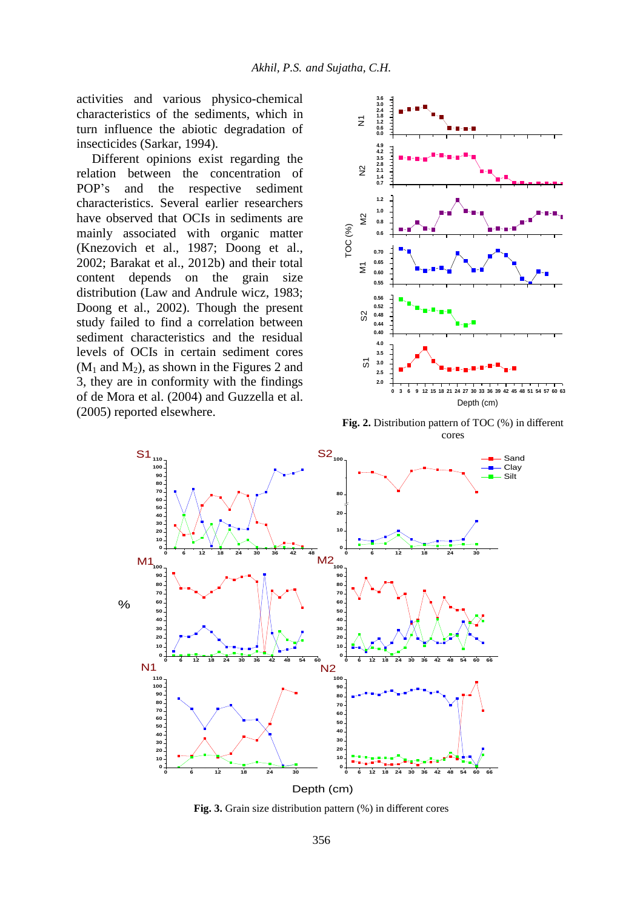activities and various physico-chemical characteristics of the sediments, which in turn influence the abiotic degradation of insecticides (Sarkar, 1994).

Different opinions exist regarding the relation between the concentration of POP's and the respective sediment characteristics. Several earlier researchers have observed that OCIs in sediments are mainly associated with organic matter (Knezovich et al., 1987; Doong et al., 2002; Barakat et al., 2012b) and their total content depends on the grain size distribution (Law and Andrule wicz, 1983; Doong et al., 2002). Though the present study failed to find a correlation between sediment characteristics and the residual levels of OCIs in certain sediment cores  $(M_1$  and  $M_2$ ), as shown in the Figures 2 and 3, they are in conformity with the findings of de Mora et al. (2004) and Guzzella et al. (2005) reported elsewhere.



**Fig. 2.** Distribution pattern of TOC (%) in different cores



**Fig. 3.** Grain size distribution pattern (%) in different cores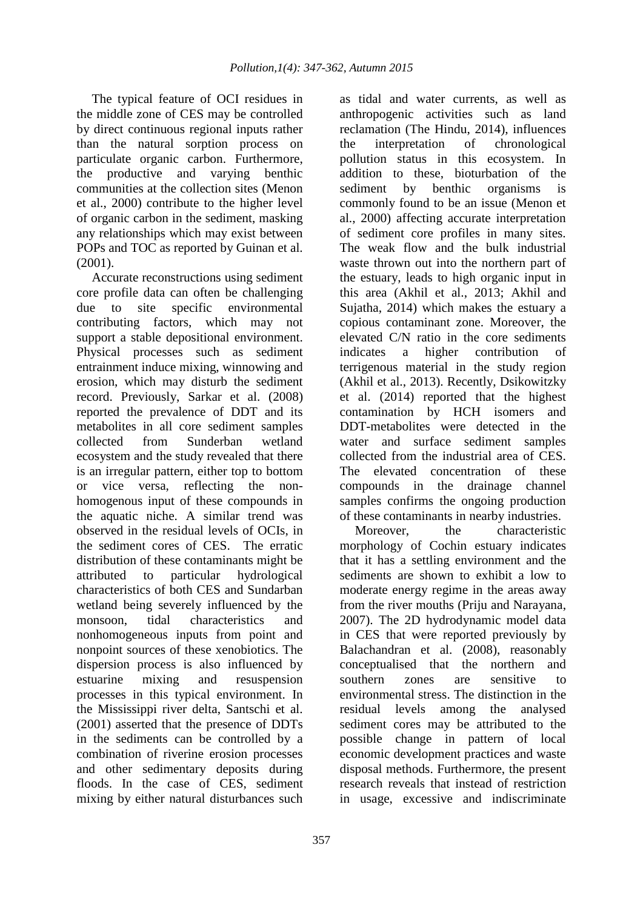The typical feature of OCI residues in the middle zone of CES may be controlled by direct continuous regional inputs rather than the natural sorption process on particulate organic carbon. Furthermore, the productive and varying benthic communities at the collection sites (Menon et al., 2000) contribute to the higher level of organic carbon in the sediment, masking any relationships which may exist between POPs and TOC as reported by Guinan et al. (2001).

Accurate reconstructions using sediment core profile data can often be challenging due to site specific environmental contributing factors, which may not support a stable depositional environment. Physical processes such as sediment entrainment induce mixing, winnowing and erosion, which may disturb the sediment record. Previously, Sarkar et al. (2008) reported the prevalence of DDT and its metabolites in all core sediment samples collected from Sunderban wetland ecosystem and the study revealed that there is an irregular pattern, either top to bottom or vice versa, reflecting the nonhomogenous input of these compounds in the aquatic niche. A similar trend was observed in the residual levels of OCIs, in the sediment cores of CES. The erratic distribution of these contaminants might be attributed to particular hydrological characteristics of both CES and Sundarban wetland being severely influenced by the monsoon, tidal characteristics and nonhomogeneous inputs from point and nonpoint sources of these xenobiotics. The dispersion process is also influenced by estuarine mixing and resuspension processes in this typical environment. In the Mississippi river delta, Santschi et al. (2001) asserted that the presence of DDTs in the sediments can be controlled by a combination of riverine erosion processes and other sedimentary deposits during floods. In the case of CES, sediment mixing by either natural disturbances such

as tidal and water currents, as well as anthropogenic activities such as land reclamation (The Hindu, 2014), influences the interpretation of chronological pollution status in this ecosystem. In addition to these, bioturbation of the sediment by benthic organisms is commonly found to be an issue (Menon et al., 2000) affecting accurate interpretation of sediment core profiles in many sites. The weak flow and the bulk industrial waste thrown out into the northern part of the estuary, leads to high organic input in this area (Akhil et al., 2013; Akhil and Sujatha, 2014) which makes the estuary a copious contaminant zone. Moreover, the elevated C/N ratio in the core sediments indicates a higher contribution of terrigenous material in the study region (Akhil et al., 2013). Recently, Dsikowitzky et al. (2014) reported that the highest contamination by HCH isomers and DDT-metabolites were detected in the water and surface sediment samples collected from the industrial area of CES. The elevated concentration of these compounds in the drainage channel samples confirms the ongoing production of these contaminants in nearby industries.

Moreover, the characteristic morphology of Cochin estuary indicates that it has a settling environment and the sediments are shown to exhibit a low to moderate energy regime in the areas away from the river mouths (Priju and Narayana, 2007). The 2D hydrodynamic model data in CES that were reported previously by Balachandran et al. (2008), reasonably conceptualised that the northern and southern zones are sensitive to environmental stress. The distinction in the residual levels among the analysed sediment cores may be attributed to the possible change in pattern of local economic development practices and waste disposal methods. Furthermore, the present research reveals that instead of restriction in usage, excessive and indiscriminate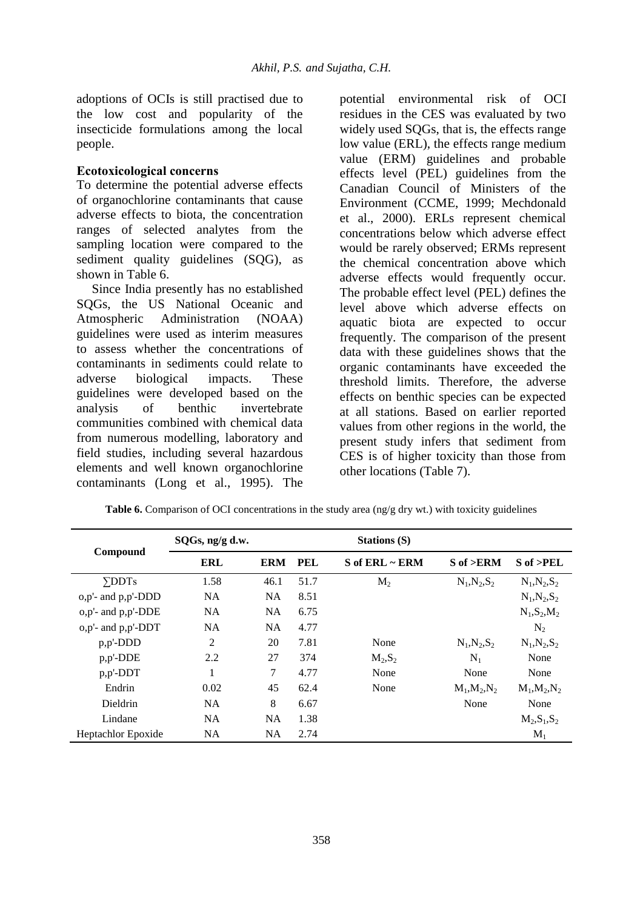adoptions of OCIs is still practised due to the low cost and popularity of the insecticide formulations among the local people.

#### **Ecotoxicological concerns**

To determine the potential adverse effects of organochlorine contaminants that cause adverse effects to biota, the concentration ranges of selected analytes from the sampling location were compared to the sediment quality guidelines (SQG), as shown in Table 6.

Since India presently has no established SQGs, the US National Oceanic and Atmospheric Administration (NOAA) guidelines were used as interim measures to assess whether the concentrations of contaminants in sediments could relate to adverse biological impacts. These guidelines were developed based on the analysis of benthic invertebrate communities combined with chemical data from numerous modelling, laboratory and field studies, including several hazardous elements and well known organochlorine contaminants (Long et al., 1995). The

potential environmental risk of OCI residues in the CES was evaluated by two widely used SQGs, that is, the effects range low value (ERL), the effects range medium value (ERM) guidelines and probable effects level (PEL) guidelines from the Canadian Council of Ministers of the Environment (CCME, 1999; Mechdonald et al., 2000). ERLs represent chemical concentrations below which adverse effect would be rarely observed; ERMs represent the chemical concentration above which adverse effects would frequently occur. The probable effect level (PEL) defines the level above which adverse effects on aquatic biota are expected to occur frequently. The comparison of the present data with these guidelines shows that the organic contaminants have exceeded the threshold limits. Therefore, the adverse effects on benthic species can be expected at all stations. Based on earlier reported values from other regions in the world, the present study infers that sediment from CES is of higher toxicity than those from other locations (Table 7).

|                            | SQGs, ng/g d.w. |            |            | Stations (S)     |                 |                     |  |  |  |
|----------------------------|-----------------|------------|------------|------------------|-----------------|---------------------|--|--|--|
| Compound                   | ERL             | <b>ERM</b> | <b>PEL</b> | $S$ of ERL ~ ERM | $S$ of $>ERM$   | $S \text{ of } PEL$ |  |  |  |
| $\Sigma$ DDTs              | 1.58            | 46.1       | 51.7       | $M_{2}$          | $N_1, N_2, S_2$ | $N_1, N_2, S_2$     |  |  |  |
| $o, p'$ - and $p, p'$ -DDD | <b>NA</b>       | <b>NA</b>  | 8.51       |                  |                 | $N_1, N_2, S_2$     |  |  |  |
| o,p'- and p,p'-DDE         | <b>NA</b>       | <b>NA</b>  | 6.75       |                  |                 | $N_1, S_2, M_2$     |  |  |  |
| $o, p'$ - and $p, p'$ -DDT | <b>NA</b>       | <b>NA</b>  | 4.77       |                  |                 | N <sub>2</sub>      |  |  |  |
| $p, p'$ -DDD               | 2               | 20         | 7.81       | None             | $N_1, N_2, S_2$ | $N_1, N_2, S_2$     |  |  |  |
| p,p'-DDE                   | 2.2             | 27         | 374        | $M_2, S_2$       | $N_1$           | None                |  |  |  |
| $p, p'$ -DDT               |                 | 7          | 4.77       | None             | None            | None                |  |  |  |
| Endrin                     | 0.02            | 45         | 62.4       | None             | $M_1, M_2, N_2$ | $M_1, M_2, N_2$     |  |  |  |
| <b>Dieldrin</b>            | <b>NA</b>       | 8          | 6.67       |                  | None            | None                |  |  |  |
| Lindane                    | <b>NA</b>       | <b>NA</b>  | 1.38       |                  |                 | $M_2, S_1, S_2$     |  |  |  |
| <b>Heptachlor Epoxide</b>  | <b>NA</b>       | <b>NA</b>  | 2.74       |                  |                 | $M_1$               |  |  |  |

**Table 6.** Comparison of OCI concentrations in the study area (ng/g dry wt.) with toxicity guidelines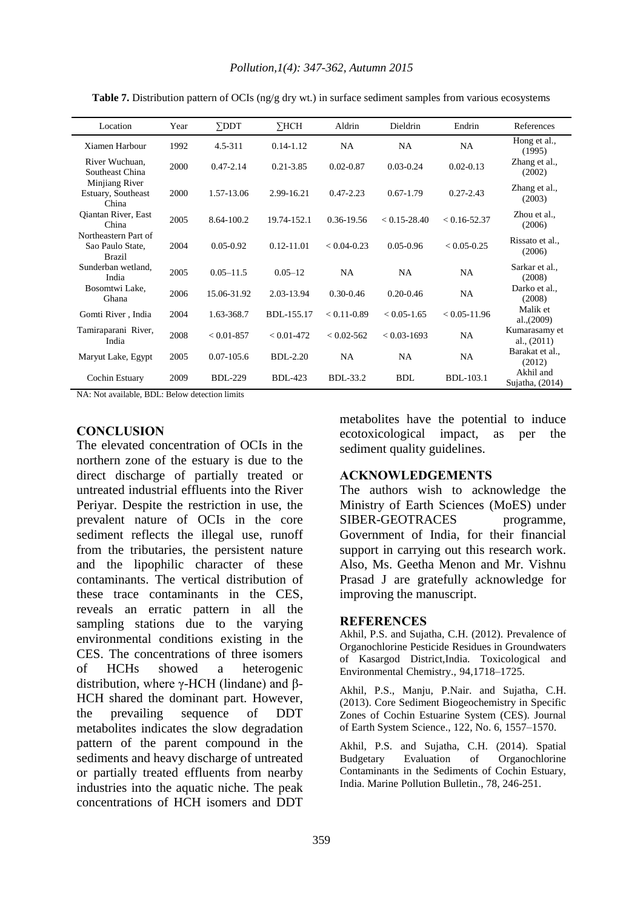| Location                                                  | Year | $\Sigma$ DDT   | $\Sigma$ HCH   | Aldrin          | Dieldrin         | Endrin           | References                     |
|-----------------------------------------------------------|------|----------------|----------------|-----------------|------------------|------------------|--------------------------------|
| Xiamen Harbour                                            | 1992 | 4.5-311        | $0.14 - 1.12$  | <b>NA</b>       | <b>NA</b>        | <b>NA</b>        | Hong et al.,<br>(1995)         |
| River Wuchuan,<br>Southeast China                         | 2000 | $0.47 - 2.14$  | $0.21 - 3.85$  | $0.02 - 0.87$   | $0.03 - 0.24$    | $0.02 - 0.13$    | Zhang et al.,<br>(2002)        |
| Minjiang River<br>Estuary, Southeast<br>China             | 2000 | 1.57-13.06     | 2.99-16.21     | $0.47 - 2.23$   | $0.67 - 1.79$    | $0.27 - 2.43$    | Zhang et al.,<br>(2003)        |
| Qiantan River, East<br>China                              | 2005 | $8.64 - 100.2$ | 19.74-152.1    | $0.36 - 19.56$  | $< 0.15 - 28.40$ | $< 0.16 - 52.37$ | Zhou et al.,<br>(2006)         |
| Northeastern Part of<br>Sao Paulo State,<br><b>Brazil</b> | 2004 | $0.05 - 0.92$  | $0.12 - 11.01$ | $< 0.04 - 0.23$ | $0.05 - 0.96$    | $< 0.05 - 0.25$  | Rissato et al.,<br>(2006)      |
| Sunderban wetland,<br>India                               | 2005 | $0.05 - 11.5$  | $0.05 - 12$    | NA              | NA               | <b>NA</b>        | Sarkar et al.,<br>(2008)       |
| Bosomtwi Lake,<br>Ghana                                   | 2006 | 15.06-31.92    | 2.03-13.94     | $0.30 - 0.46$   | $0.20 - 0.46$    | NA               | Darko et al.,<br>(2008)        |
| Gomti River, India                                        | 2004 | 1.63-368.7     | BDL-155.17     | $< 0.11 - 0.89$ | $< 0.05 - 1.65$  | $< 0.05 - 11.96$ | Malik et<br>al., $(2009)$      |
| Tamiraparani River,<br>India                              | 2008 | $< 0.01 - 857$ | $< 0.01 - 472$ | $< 0.02 - 562$  | $< 0.03 - 1693$  | <b>NA</b>        | Kumarasamy et<br>al., $(2011)$ |
| Maryut Lake, Egypt                                        | 2005 | $0.07 - 105.6$ | $BDL-2.20$     | <b>NA</b>       | <b>NA</b>        | NA.              | Barakat et al.,<br>(2012)      |
| Cochin Estuary                                            | 2009 | <b>BDL-229</b> | <b>BDL-423</b> | <b>BDL-33.2</b> | <b>BDL</b>       | <b>BDL-103.1</b> | Akhil and<br>Sujatha, (2014)   |

**Table 7.** Distribution pattern of OCIs (ng/g dry wt.) in surface sediment samples from various ecosystems

NA: Not available, BDL: Below detection limits

### **CONCLUSION**

The elevated concentration of OCIs in the northern zone of the estuary is due to the direct discharge of partially treated or untreated industrial effluents into the River Periyar. Despite the restriction in use, the prevalent nature of OCIs in the core sediment reflects the illegal use, runoff from the tributaries, the persistent nature and the lipophilic character of these contaminants. The vertical distribution of these trace contaminants in the CES, reveals an erratic pattern in all the sampling stations due to the varying environmental conditions existing in the CES. The concentrations of three isomers of HCHs showed a heterogenic distribution, where  $γ$ -HCH (lindane) and β-HCH shared the dominant part. However, the prevailing sequence of DDT metabolites indicates the slow degradation pattern of the parent compound in the sediments and heavy discharge of untreated or partially treated effluents from nearby industries into the aquatic niche. The peak concentrations of HCH isomers and DDT

metabolites have the potential to induce ecotoxicological impact, as per the sediment quality guidelines.

#### **ACKNOWLEDGEMENTS**

The authors wish to acknowledge the Ministry of Earth Sciences (MoES) under SIBER-GEOTRACES programme, Government of India, for their financial support in carrying out this research work. Also, Ms. Geetha Menon and Mr. Vishnu Prasad J are gratefully acknowledge for improving the manuscript.

#### **REFERENCES**

Akhil, P.S. and Sujatha, C.H. (2012). Prevalence of Organochlorine Pesticide Residues in Groundwaters of Kasargod District,India. Toxicological and Environmental Chemistry., 94,1718–1725.

Akhil, P.S., Manju, P.Nair. and Sujatha, C.H. (2013). Core Sediment Biogeochemistry in Specific Zones of Cochin Estuarine System (CES). Journal of Earth System Science., 122, No. 6, 1557–1570.

Akhil, P.S. and Sujatha, C.H. (2014). Spatial Budgetary Evaluation of Organochlorine Contaminants in the Sediments of Cochin Estuary, India. Marine Pollution Bulletin., 78, 246-251.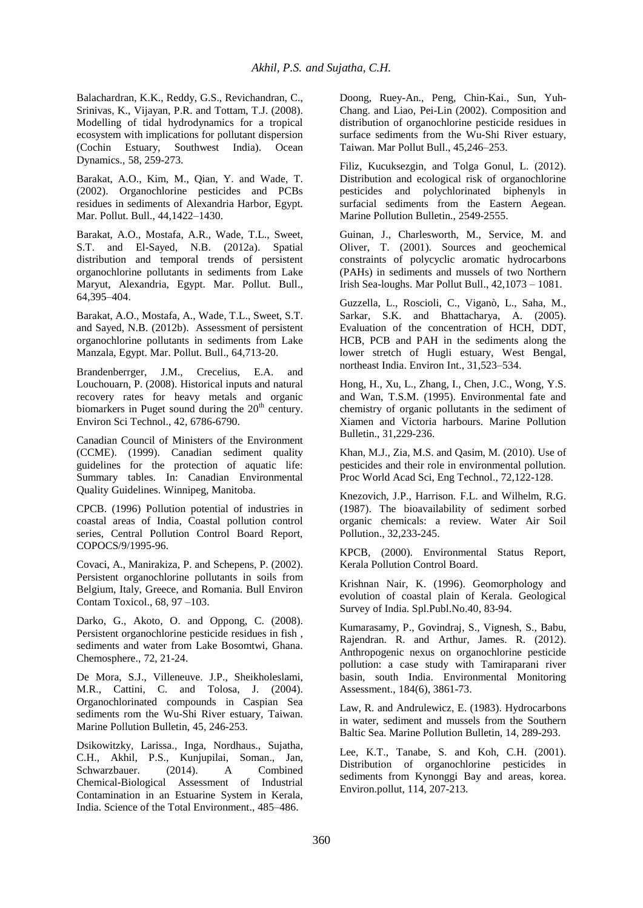Balachardran, K.K., Reddy, G.S., Revichandran, C., Srinivas, K., Vijayan, P.R. and Tottam, T.J. (2008). Modelling of tidal hydrodynamics for a tropical ecosystem with implications for pollutant dispersion (Cochin Estuary, Southwest India). Ocean Dynamics., 58, 259-273.

Barakat, A.O., Kim, M., Qian, Y. and Wade, T. (2002). Organochlorine pesticides and PCBs residues in sediments of Alexandria Harbor, Egypt. Mar. Pollut. Bull., 44,1422–1430.

Barakat, A.O., Mostafa, A.R., Wade, T.L., Sweet, S.T. and El-Sayed, N.B. (2012a). Spatial distribution and temporal trends of persistent organochlorine pollutants in sediments from Lake Maryut, Alexandria, Egypt. Mar. Pollut. Bull., 64,395–404.

Barakat, A.O., Mostafa, A., Wade, T.L., Sweet, S.T. and Sayed, N.B. (2012b). Assessment of persistent organochlorine pollutants in sediments from Lake Manzala, Egypt. Mar. Pollut. Bull., 64,713-20.

Brandenberrger, J.M., Crecelius, E.A. and Louchouarn, P. (2008). Historical inputs and natural recovery rates for heavy metals and organic biomarkers in Puget sound during the  $20<sup>th</sup>$  century. Environ Sci Technol., 42, 6786-6790.

Canadian Council of Ministers of the Environment (CCME). (1999). Canadian sediment quality guidelines for the protection of aquatic life: Summary tables. In: Canadian Environmental Quality Guidelines. Winnipeg, Manitoba.

CPCB. (1996) Pollution potential of industries in coastal areas of India, Coastal pollution control series, Central Pollution Control Board Report, COPOCS/9/1995-96.

Covaci, A., Manirakiza, P. and Schepens, P. (2002). Persistent organochlorine pollutants in soils from Belgium, Italy, Greece, and Romania. Bull Environ Contam Toxicol., 68, 97 –103.

Darko, G., Akoto, O. and Oppong, C. (2008). Persistent organochlorine pesticide residues in fish , sediments and water from Lake Bosomtwi, Ghana. Chemosphere., 72, 21-24.

De Mora, S.J., Villeneuve. J.P., Sheikholeslami, M.R., Cattini, C. and Tolosa, J. (2004). Organochlorinated compounds in Caspian Sea sediments rom the Wu-Shi River estuary, Taiwan. Marine Pollution Bulletin, 45, 246-253.

Dsikowitzky, Larissa., Inga, Nordhaus., Sujatha, C.H., Akhil, P.S., Kunjupilai, Soman., Jan, Schwarzbauer. (2014). A Combined Chemical-Biological Assessment of Industrial Contamination in an Estuarine System in Kerala, India. Science of the Total Environment., 485–486.

Doong, Ruey-An., Peng, Chin-Kai., Sun, Yuh-Chang. and Liao, Pei-Lin (2002). Composition and distribution of organochlorine pesticide residues in surface sediments from the Wu-Shi River estuary, Taiwan. Mar Pollut Bull., 45,246–253.

Filiz, Kucuksezgin, and Tolga Gonul, L. (2012). Distribution and ecological risk of organochlorine pesticides and polychlorinated biphenyls in surfacial sediments from the Eastern Aegean. Marine Pollution Bulletin., 2549-2555.

Guinan, J., Charlesworth, M., Service, M. and Oliver, T. (2001). Sources and geochemical constraints of polycyclic aromatic hydrocarbons (PAHs) in sediments and mussels of two Northern Irish Sea-loughs. Mar Pollut Bull., 42,1073 – 1081.

Guzzella, L., Roscioli, C., Viganò, L., Saha, M., Sarkar, S.K. and Bhattacharya, A. (2005). Evaluation of the concentration of HCH, DDT, HCB, PCB and PAH in the sediments along the lower stretch of Hugli estuary, West Bengal, northeast India. Environ Int., 31,523–534.

Hong, H., Xu, L., Zhang, I., Chen, J.C., Wong, Y.S. and Wan, T.S.M. (1995). Environmental fate and chemistry of organic pollutants in the sediment of Xiamen and Victoria harbours. Marine Pollution Bulletin., 31,229-236.

Khan, M.J., Zia, M.S. and Qasim, M. (2010). Use of pesticides and their role in environmental pollution. Proc World Acad Sci, Eng Technol., 72,122-128.

Knezovich, J.P., Harrison. F.L. and Wilhelm, R.G. (1987). The bioavailability of sediment sorbed organic chemicals: a review. Water Air Soil Pollution., 32,233-245.

KPCB, (2000). Environmental Status Report, Kerala Pollution Control Board.

Krishnan Nair, K. (1996). Geomorphology and evolution of coastal plain of Kerala. Geological Survey of India. Spl.Publ.No.40, 83-94.

Kumarasamy, P., Govindraj, S., Vignesh, S., Babu, Rajendran. R. and Arthur, James. R. (2012). Anthropogenic nexus on organochlorine pesticide pollution: a case study with Tamiraparani river basin, south India. Environmental Monitoring Assessment., 184(6), 3861-73.

Law, R. and Andrulewicz, E. (1983). Hydrocarbons in water, sediment and mussels from the Southern Baltic Sea. Marine Pollution Bulletin, 14, 289-293.

Lee, K.T., Tanabe, S. and Koh, C.H. (2001). Distribution of organochlorine pesticides in sediments from Kynonggi Bay and areas, korea. Environ.pollut, 114, 207-213.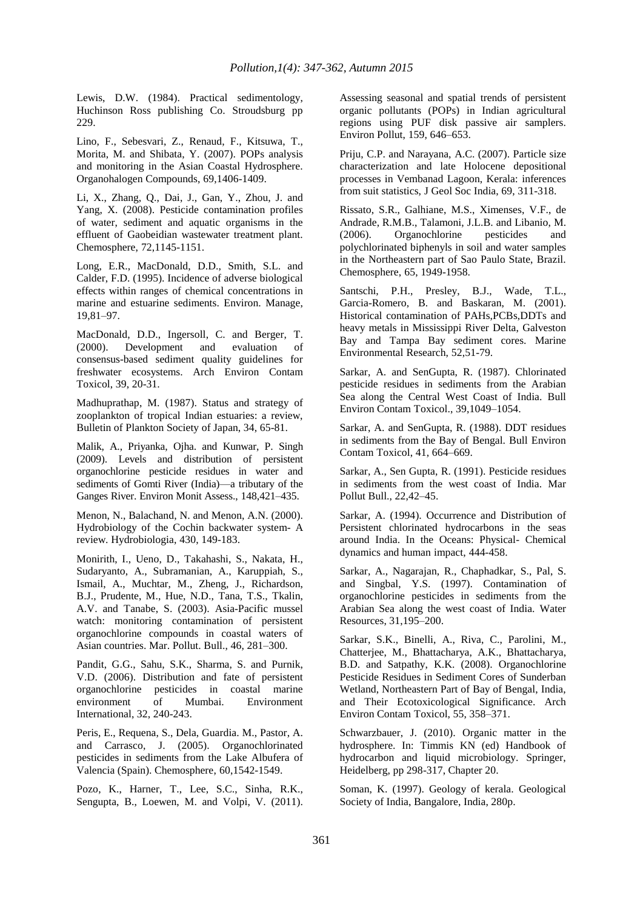Lewis, D.W. (1984). Practical sedimentology, Huchinson Ross publishing Co. Stroudsburg pp 229.

Lino, F., Sebesvari, Z., Renaud, F., Kitsuwa, T., Morita, M. and Shibata, Y. (2007). POPs analysis and monitoring in the Asian Coastal Hydrosphere. Organohalogen Compounds, 69,1406-1409.

Li, X., Zhang, Q., Dai, J., Gan, Y., Zhou, J. and Yang, X. (2008). Pesticide contamination profiles of water, sediment and aquatic organisms in the effluent of Gaobeidian wastewater treatment plant. Chemosphere, 72,1145-1151.

Long, E.R., MacDonald, D.D., Smith, S.L. and Calder, F.D. (1995). Incidence of adverse biological effects within ranges of chemical concentrations in marine and estuarine sediments. Environ. Manage, 19,81–97.

MacDonald, D.D., Ingersoll, C. and Berger, T. (2000). Development and evaluation of consensus-based sediment quality guidelines for freshwater ecosystems. Arch Environ Contam Toxicol, 39, 20-31.

Madhuprathap, M. (1987). Status and strategy of zooplankton of tropical Indian estuaries: a review, Bulletin of Plankton Society of Japan, 34, 65-81.

Malik, A., Priyanka, Ojha. and Kunwar, P. Singh (2009). Levels and distribution of persistent organochlorine pesticide residues in water and sediments of Gomti River (India)—a tributary of the Ganges River. Environ Monit Assess., 148,421–435.

Menon, N., Balachand, N. and Menon, A.N. (2000). Hydrobiology of the Cochin backwater system- A review. Hydrobiologia, 430, 149-183.

Monirith, I., Ueno, D., Takahashi, S., Nakata, H., Sudaryanto, A., Subramanian, A., Karuppiah, S., Ismail, A., Muchtar, M., Zheng, J., Richardson, B.J., Prudente, M., Hue, N.D., Tana, T.S., Tkalin, A.V. and Tanabe, S. (2003). Asia-Pacific mussel watch: monitoring contamination of persistent organochlorine compounds in coastal waters of Asian countries. Mar. Pollut. Bull., 46, 281–300.

Pandit, G.G., Sahu, S.K., Sharma, S. and Purnik, V.D. (2006). Distribution and fate of persistent organochlorine pesticides in coastal marine environment of Mumbai. Environment International, 32, 240-243.

Peris, E., Requena, S., Dela, Guardia. M., Pastor, A. and Carrasco, J. (2005). Organochlorinated pesticides in sediments from the Lake Albufera of Valencia (Spain). Chemosphere, 60,1542-1549.

Pozo, K., Harner, T., Lee, S.C., Sinha, R.K., Sengupta, B., Loewen, M. and Volpi, V. (2011). Assessing seasonal and spatial trends of persistent organic pollutants (POPs) in Indian agricultural regions using PUF disk passive air samplers. Environ Pollut, 159, 646–653.

Priju, C.P. and Narayana, A.C. (2007). Particle size characterization and late Holocene depositional processes in Vembanad Lagoon, Kerala: inferences from suit statistics, J Geol Soc India, 69, 311-318.

Rissato, S.R., Galhiane, M.S., Ximenses, V.F., de Andrade, R.M.B., Talamoni, J.L.B. and Libanio, M. (2006). Organochlorine pesticides and polychlorinated biphenyls in soil and water samples in the Northeastern part of Sao Paulo State, Brazil. Chemosphere, 65, 1949-1958.

Santschi, P.H., Presley, B.J., Wade, T.L., Garcia-Romero, B. and Baskaran, M. (2001). Historical contamination of PAHs,PCBs,DDTs and heavy metals in Mississippi River Delta, Galveston Bay and Tampa Bay sediment cores. Marine Environmental Research, 52,51-79.

Sarkar, A. and SenGupta, R. (1987). Chlorinated pesticide residues in sediments from the Arabian Sea along the Central West Coast of India. Bull Environ Contam Toxicol., 39,1049–1054.

Sarkar, A. and SenGupta, R. (1988). DDT residues in sediments from the Bay of Bengal. Bull Environ Contam Toxicol, 41, 664–669.

Sarkar, A., Sen Gupta, R. (1991). Pesticide residues in sediments from the west coast of India. Mar Pollut Bull., 22,42–45.

Sarkar, A. (1994). Occurrence and Distribution of Persistent chlorinated hydrocarbons in the seas around India. In the Oceans: Physical- Chemical dynamics and human impact, 444-458.

Sarkar, A., Nagarajan, R., Chaphadkar, S., Pal, S. and Singbal, Y.S. (1997). Contamination of organochlorine pesticides in sediments from the Arabian Sea along the west coast of India. Water Resources, 31,195–200.

Sarkar, S.K., Binelli, A., Riva, C., Parolini, M., Chatterjee, M., Bhattacharya, A.K., Bhattacharya, B.D. and Satpathy, K.K. (2008). Organochlorine Pesticide Residues in Sediment Cores of Sunderban Wetland, Northeastern Part of Bay of Bengal, India, and Their Ecotoxicological Significance. Arch Environ Contam Toxicol, 55, 358–371.

Schwarzbauer, J. (2010). Organic matter in the hydrosphere. In: Timmis KN (ed) Handbook of hydrocarbon and liquid microbiology. Springer, Heidelberg, pp 298-317, Chapter 20.

Soman, K. (1997). Geology of kerala. Geological Society of India, Bangalore, India, 280p.